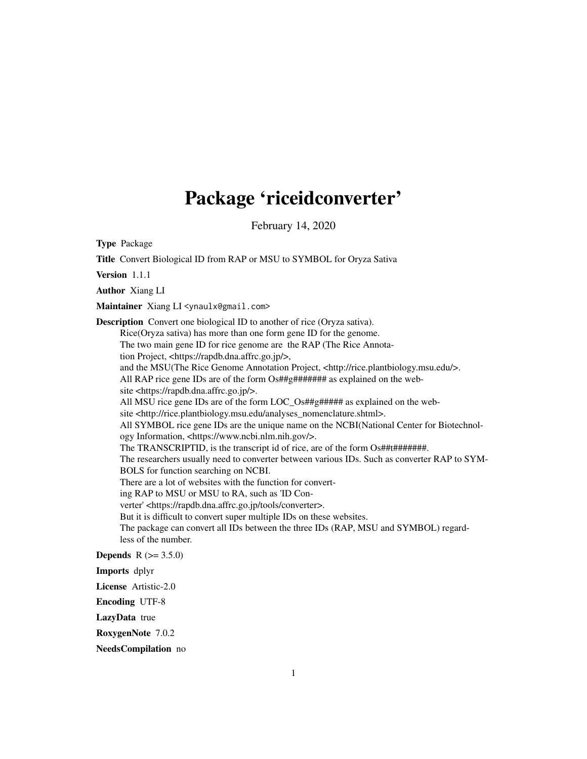## Package 'riceidconverter'

February 14, 2020

Type Package Title Convert Biological ID from RAP or MSU to SYMBOL for Oryza Sativa Version 1.1.1 Author Xiang LI Maintainer Xiang LI <ynaulx@gmail.com> Description Convert one biological ID to another of rice (Oryza sativa). Rice(Oryza sativa) has more than one form gene ID for the genome. The two main gene ID for rice genome are the RAP (The Rice Annotation Project, <https://rapdb.dna.affrc.go.jp/>, and the MSU(The Rice Genome Annotation Project, <http://rice.plantbiology.msu.edu/>. All RAP rice gene IDs are of the form Os##g####### as explained on the website <https://rapdb.dna.affrc.go.jp/>. All MSU rice gene IDs are of the form LOC\_Os##g##### as explained on the website <http://rice.plantbiology.msu.edu/analyses\_nomenclature.shtml>. All SYMBOL rice gene IDs are the unique name on the NCBI(National Center for Biotechnology Information, <https://www.ncbi.nlm.nih.gov/>. The TRANSCRIPTID, is the transcript id of rice, are of the form Os##t########. The researchers usually need to converter between various IDs. Such as converter RAP to SYM-BOLS for function searching on NCBI. There are a lot of websites with the function for converting RAP to MSU or MSU to RA, such as 'ID Converter' <https://rapdb.dna.affrc.go.jp/tools/converter>. But it is difficult to convert super multiple IDs on these websites. The package can convert all IDs between the three IDs (RAP, MSU and SYMBOL) regardless of the number. **Depends**  $R (= 3.5.0)$ Imports dplyr License Artistic-2.0

Encoding UTF-8

LazyData true

RoxygenNote 7.0.2

NeedsCompilation no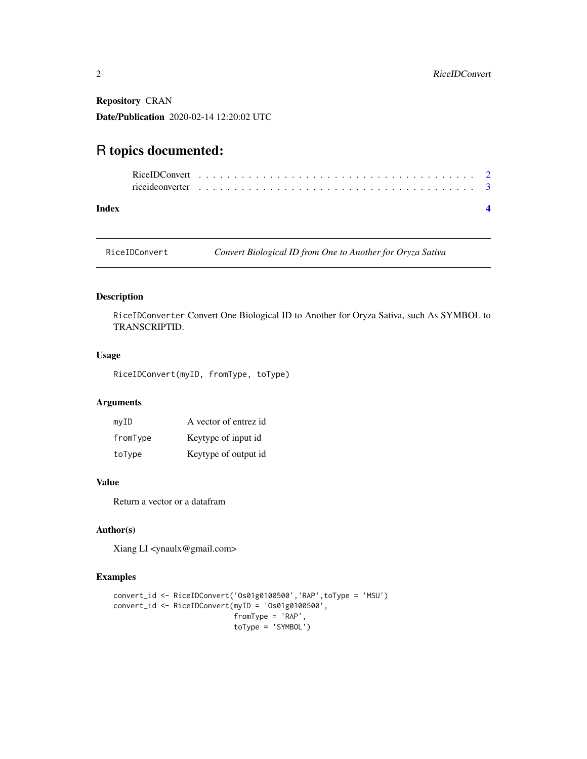<span id="page-1-0"></span>Repository CRAN

Date/Publication 2020-02-14 12:20:02 UTC

### R topics documented:

| rice ideonverter $\ldots \ldots \ldots \ldots \ldots \ldots \ldots \ldots \ldots \ldots \ldots \ldots \ldots$ |  |  |  |  |  |  |  |  |  |  |  |  |  |  |  |  |  |  |
|---------------------------------------------------------------------------------------------------------------|--|--|--|--|--|--|--|--|--|--|--|--|--|--|--|--|--|--|
|                                                                                                               |  |  |  |  |  |  |  |  |  |  |  |  |  |  |  |  |  |  |

#### **Index** [4](#page-3-0)

RiceIDConvert *Convert Biological ID from One to Another for Oryza Sativa*

#### Description

RiceIDConverter Convert One Biological ID to Another for Oryza Sativa, such As SYMBOL to TRANSCRIPTID.

#### Usage

RiceIDConvert(myID, fromType, toType)

#### Arguments

| myID     | A vector of entrez id |
|----------|-----------------------|
| fromType | Keytype of input id   |
| toType   | Keytype of output id  |

#### Value

Return a vector or a datafram

#### Author(s)

Xiang LI <ynaulx@gmail.com>

#### Examples

```
convert_id <- RiceIDConvert('Os01g0100500','RAP',toType = 'MSU')
convert_id <- RiceIDConvert(myID = 'Os01g0100500',
                           fromType = 'RAP',
                            toType = 'SYMBOL')
```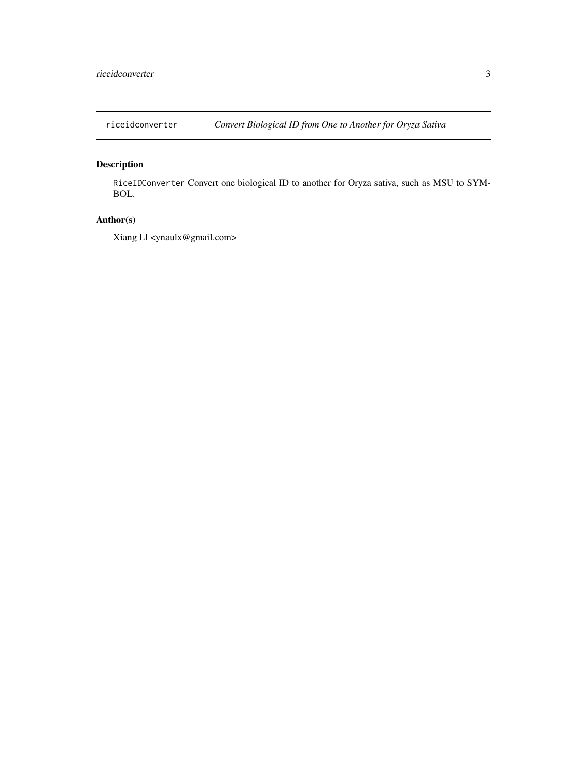<span id="page-2-0"></span>

#### Description

RiceIDConverter Convert one biological ID to another for Oryza sativa, such as MSU to SYM-BOL.

#### Author(s)

Xiang LI <ynaulx@gmail.com>